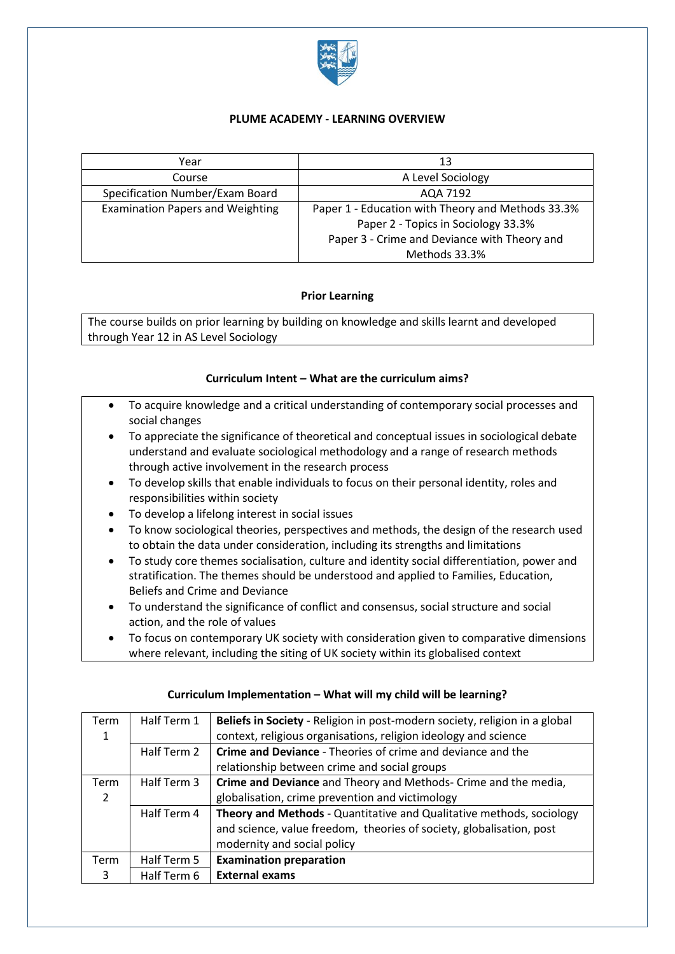

## **PLUME ACADEMY - LEARNING OVERVIEW**

| Year                                    | 13                                                |
|-----------------------------------------|---------------------------------------------------|
| Course                                  | A Level Sociology                                 |
| Specification Number/Exam Board         | AQA 7192                                          |
| <b>Examination Papers and Weighting</b> | Paper 1 - Education with Theory and Methods 33.3% |
|                                         | Paper 2 - Topics in Sociology 33.3%               |
|                                         | Paper 3 - Crime and Deviance with Theory and      |
|                                         | Methods 33.3%                                     |

# **Prior Learning**

The course builds on prior learning by building on knowledge and skills learnt and developed through Year 12 in AS Level Sociology

#### **Curriculum Intent – What are the curriculum aims?**

- To acquire knowledge and a critical understanding of contemporary social processes and social changes
- To appreciate the significance of theoretical and conceptual issues in sociological debate understand and evaluate sociological methodology and a range of research methods through active involvement in the research process
- To develop skills that enable individuals to focus on their personal identity, roles and responsibilities within society
- To develop a lifelong interest in social issues
- To know sociological theories, perspectives and methods, the design of the research used to obtain the data under consideration, including its strengths and limitations
- To study core themes socialisation, culture and identity social differentiation, power and stratification. The themes should be understood and applied to Families, Education, Beliefs and Crime and Deviance
- To understand the significance of conflict and consensus, social structure and social action, and the role of values
- To focus on contemporary UK society with consideration given to comparative dimensions where relevant, including the siting of UK society within its globalised context

| Term           | Half Term 1 | Beliefs in Society - Religion in post-modern society, religion in a global |  |
|----------------|-------------|----------------------------------------------------------------------------|--|
| 1              |             | context, religious organisations, religion ideology and science            |  |
|                | Half Term 2 | Crime and Deviance - Theories of crime and deviance and the                |  |
|                |             | relationship between crime and social groups                               |  |
| Term           | Half Term 3 | Crime and Deviance and Theory and Methods- Crime and the media,            |  |
| $\overline{2}$ |             | globalisation, crime prevention and victimology                            |  |
|                | Half Term 4 | Theory and Methods - Quantitative and Qualitative methods, sociology       |  |
|                |             | and science, value freedom, theories of society, globalisation, post       |  |
|                |             | modernity and social policy                                                |  |
| Term           | Half Term 5 | <b>Examination preparation</b>                                             |  |
| 3              | Half Term 6 | <b>External exams</b>                                                      |  |

#### **Curriculum Implementation – What will my child will be learning?**